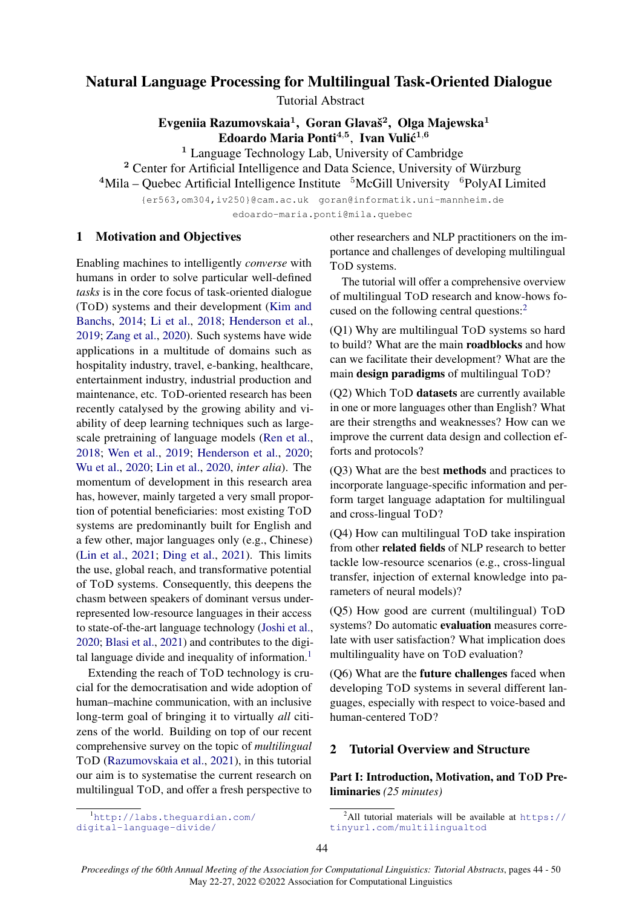# Natural Language Processing for Multilingual Task-Oriented Dialogue

Tutorial Abstract

Evgeniia Razumovskaia $^1\!,\,$  Goran Glavaš $^2\!,\,$  Olga Majewska $^1$ Edoardo Maria Ponti $^{4,5}$ , Ivan Vulić $^{1,6}$ 

<sup>1</sup> Language Technology Lab, University of Cambridge

<sup>2</sup> Center for Artificial Intelligence and Data Science, University of Würzburg  $4$ Mila – Quebec Artificial Intelligence Institute  $5$ McGill University  $6$ PolyAI Limited

{er563,om304,iv250}@cam.ac.uk goran@informatik.uni-mannheim.de edoardo-maria.ponti@mila.quebec

# 1 Motivation and Objectives

Enabling machines to intelligently *converse* with humans in order to solve particular well-defined *tasks* is in the core focus of task-oriented dialogue (TOD) systems and their development (Kim and Banchs, 2014; Li et al., 2018; Henderson et al., 2019; Zang et al., 2020). Such systems have wide applications in a multitude of domains such as hospitality industry, travel, e-banking, healthcare, entertainment industry, industrial production and maintenance, etc. TOD-oriented research has been recently catalysed by the growing ability and viability of deep learning techniques such as largescale pretraining of language models (Ren et al., 2018; Wen et al., 2019; Henderson et al., 2020; Wu et al., 2020; Lin et al., 2020, *inter alia*). The momentum of development in this research area has, however, mainly targeted a very small proportion of potential beneficiaries: most existing TOD systems are predominantly built for English and a few other, major languages only (e.g., Chinese) (Lin et al., 2021; Ding et al., 2021). This limits the use, global reach, and transformative potential of TOD systems. Consequently, this deepens the chasm between speakers of dominant versus underrepresented low-resource languages in their access to state-of-the-art language technology (Joshi et al., 2020; Blasi et al., 2021) and contributes to the digital language divide and inequality of information.<sup>1</sup>

Extending the reach of TOD technology is crucial for the democratisation and wide adoption of human–machine communication, with an inclusive long-term goal of bringing it to virtually *all* citizens of the world. Building on top of our recent comprehensive survey on the topic of *multilingual* TOD (Razumovskaia et al., 2021), in this tutorial our aim is to systematise the current research on multilingual TOD, and offer a fresh perspective to

other researchers and NLP practitioners on the importance and challenges of developing multilingual TOD systems.

The tutorial will offer a comprehensive overview of multilingual TOD research and know-hows focused on the following central questions:<sup>2</sup>

(Q1) Why are multilingual TOD systems so hard to build? What are the main roadblocks and how can we facilitate their development? What are the main design paradigms of multilingual TOD?

(Q2) Which TOD datasets are currently available in one or more languages other than English? What are their strengths and weaknesses? How can we improve the current data design and collection efforts and protocols?

(Q3) What are the best methods and practices to incorporate language-specific information and perform target language adaptation for multilingual and cross-lingual TOD?

(Q4) How can multilingual TOD take inspiration from other related fields of NLP research to better tackle low-resource scenarios (e.g., cross-lingual transfer, injection of external knowledge into parameters of neural models)?

(Q5) How good are current (multilingual) TOD systems? Do automatic evaluation measures correlate with user satisfaction? What implication does multilinguality have on TOD evaluation?

(Q6) What are the future challenges faced when developing TOD systems in several different languages, especially with respect to voice-based and human-centered TOD?

# 2 Tutorial Overview and Structure

Part I: Introduction, Motivation, and TOD Preliminaries *(25 minutes)*

<sup>1</sup>http://labs.theguardian.com/ digital-language-divide/

<sup>&</sup>lt;sup>2</sup>All tutorial materials will be available at  $h$ ttps:// tinyurl.com/multilingualtod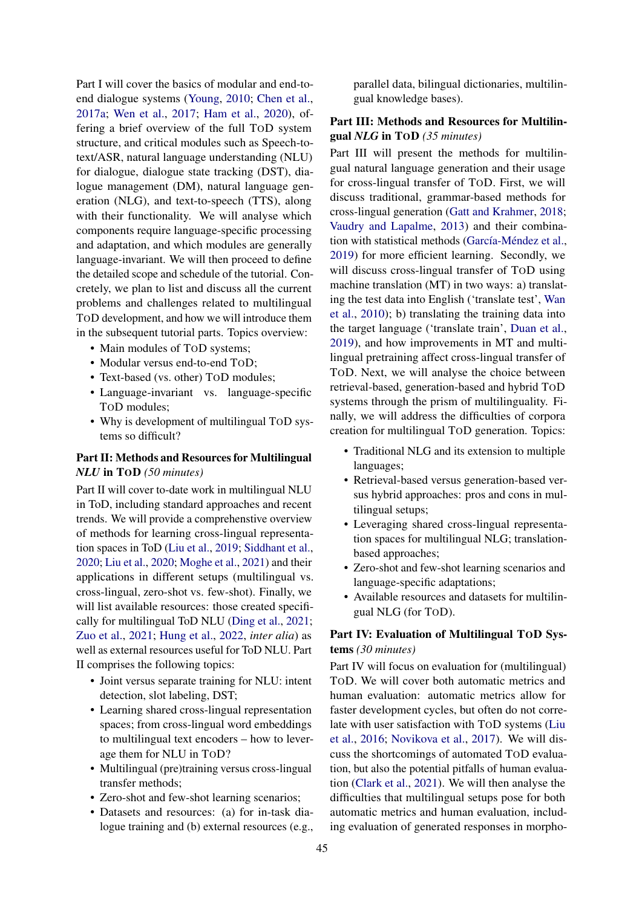Part I will cover the basics of modular and end-toend dialogue systems (Young, 2010; Chen et al., 2017a; Wen et al., 2017; Ham et al., 2020), offering a brief overview of the full TOD system structure, and critical modules such as Speech-totext/ASR, natural language understanding (NLU) for dialogue, dialogue state tracking (DST), dialogue management (DM), natural language generation (NLG), and text-to-speech (TTS), along with their functionality. We will analyse which components require language-specific processing and adaptation, and which modules are generally language-invariant. We will then proceed to define the detailed scope and schedule of the tutorial. Concretely, we plan to list and discuss all the current problems and challenges related to multilingual TOD development, and how we will introduce them in the subsequent tutorial parts. Topics overview:

- Main modules of ToD systems;
- Modular versus end-to-end TOD;
- Text-based (vs. other) ToD modules:
- Language-invariant vs. language-specific TOD modules;
- Why is development of multilingual TOD systems so difficult?

#### Part II: Methods and Resources for Multilingual *NLU* in TOD *(50 minutes)*

Part II will cover to-date work in multilingual NLU in ToD, including standard approaches and recent trends. We will provide a comprehenstive overview of methods for learning cross-lingual representation spaces in ToD (Liu et al., 2019; Siddhant et al., 2020; Liu et al., 2020; Moghe et al., 2021) and their applications in different setups (multilingual vs. cross-lingual, zero-shot vs. few-shot). Finally, we will list available resources: those created specifically for multilingual ToD NLU (Ding et al., 2021; Zuo et al., 2021; Hung et al., 2022, *inter alia*) as well as external resources useful for ToD NLU. Part II comprises the following topics:

- Joint versus separate training for NLU: intent detection, slot labeling, DST;
- Learning shared cross-lingual representation spaces; from cross-lingual word embeddings to multilingual text encoders – how to leverage them for NLU in TOD?
- Multilingual (pre)training versus cross-lingual transfer methods;
- Zero-shot and few-shot learning scenarios:
- Datasets and resources: (a) for in-task dialogue training and (b) external resources (e.g.,

parallel data, bilingual dictionaries, multilingual knowledge bases).

# Part III: Methods and Resources for Multilingual *NLG* in TOD *(35 minutes)*

Part III will present the methods for multilingual natural language generation and their usage for cross-lingual transfer of TOD. First, we will discuss traditional, grammar-based methods for cross-lingual generation (Gatt and Krahmer, 2018; Vaudry and Lapalme, 2013) and their combination with statistical methods (García-Méndez et al., 2019) for more efficient learning. Secondly, we will discuss cross-lingual transfer of TOD using machine translation (MT) in two ways: a) translating the test data into English ('translate test', Wan et al., 2010); b) translating the training data into the target language ('translate train', Duan et al., 2019), and how improvements in MT and multilingual pretraining affect cross-lingual transfer of TOD. Next, we will analyse the choice between retrieval-based, generation-based and hybrid TOD systems through the prism of multilinguality. Finally, we will address the difficulties of corpora creation for multilingual TOD generation. Topics:

- Traditional NLG and its extension to multiple languages;
- Retrieval-based versus generation-based versus hybrid approaches: pros and cons in multilingual setups;
- Leveraging shared cross-lingual representation spaces for multilingual NLG; translationbased approaches;
- Zero-shot and few-shot learning scenarios and language-specific adaptations;
- Available resources and datasets for multilingual NLG (for TOD).

# Part IV: Evaluation of Multilingual TOD Systems *(30 minutes)*

Part IV will focus on evaluation for (multilingual) TOD. We will cover both automatic metrics and human evaluation: automatic metrics allow for faster development cycles, but often do not correlate with user satisfaction with TOD systems (Liu et al., 2016; Novikova et al., 2017). We will discuss the shortcomings of automated TOD evaluation, but also the potential pitfalls of human evaluation (Clark et al., 2021). We will then analyse the difficulties that multilingual setups pose for both automatic metrics and human evaluation, including evaluation of generated responses in morpho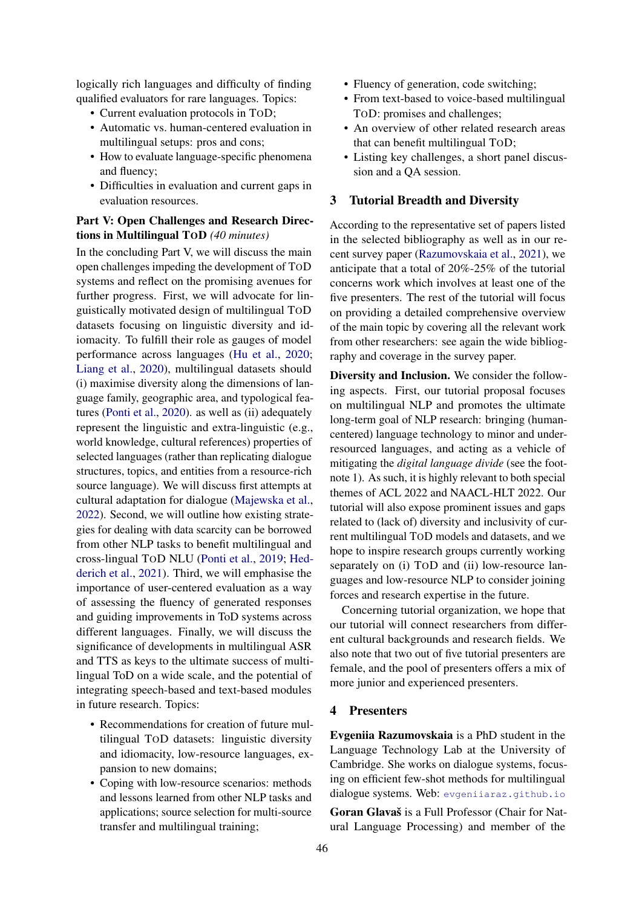logically rich languages and difficulty of finding qualified evaluators for rare languages. Topics:

- Current evaluation protocols in TOD;
- Automatic vs. human-centered evaluation in multilingual setups: pros and cons;
- How to evaluate language-specific phenomena and fluency;
- Difficulties in evaluation and current gaps in evaluation resources.

## Part V: Open Challenges and Research Directions in Multilingual TOD *(40 minutes)*

In the concluding Part V, we will discuss the main open challenges impeding the development of TOD systems and reflect on the promising avenues for further progress. First, we will advocate for linguistically motivated design of multilingual TOD datasets focusing on linguistic diversity and idiomacity. To fulfill their role as gauges of model performance across languages (Hu et al., 2020; Liang et al., 2020), multilingual datasets should (i) maximise diversity along the dimensions of language family, geographic area, and typological features (Ponti et al., 2020). as well as (ii) adequately represent the linguistic and extra-linguistic (e.g., world knowledge, cultural references) properties of selected languages (rather than replicating dialogue structures, topics, and entities from a resource-rich source language). We will discuss first attempts at cultural adaptation for dialogue (Majewska et al., 2022). Second, we will outline how existing strategies for dealing with data scarcity can be borrowed from other NLP tasks to benefit multilingual and cross-lingual TOD NLU (Ponti et al., 2019; Hedderich et al., 2021). Third, we will emphasise the importance of user-centered evaluation as a way of assessing the fluency of generated responses and guiding improvements in ToD systems across different languages. Finally, we will discuss the significance of developments in multilingual ASR and TTS as keys to the ultimate success of multilingual ToD on a wide scale, and the potential of integrating speech-based and text-based modules in future research. Topics:

- Recommendations for creation of future multilingual TOD datasets: linguistic diversity and idiomacity, low-resource languages, expansion to new domains;
- Coping with low-resource scenarios: methods and lessons learned from other NLP tasks and applications; source selection for multi-source transfer and multilingual training;
- Fluency of generation, code switching;
- From text-based to voice-based multilingual TOD: promises and challenges;
- An overview of other related research areas that can benefit multilingual TOD;
- Listing key challenges, a short panel discussion and a QA session.

#### 3 Tutorial Breadth and Diversity

According to the representative set of papers listed in the selected bibliography as well as in our recent survey paper (Razumovskaia et al., 2021), we anticipate that a total of 20%-25% of the tutorial concerns work which involves at least one of the five presenters. The rest of the tutorial will focus on providing a detailed comprehensive overview of the main topic by covering all the relevant work from other researchers: see again the wide bibliography and coverage in the survey paper.

Diversity and Inclusion. We consider the following aspects. First, our tutorial proposal focuses on multilingual NLP and promotes the ultimate long-term goal of NLP research: bringing (humancentered) language technology to minor and underresourced languages, and acting as a vehicle of mitigating the *digital language divide* (see the footnote 1). As such, it is highly relevant to both special themes of ACL 2022 and NAACL-HLT 2022. Our tutorial will also expose prominent issues and gaps related to (lack of) diversity and inclusivity of current multilingual TOD models and datasets, and we hope to inspire research groups currently working separately on (i) TOD and (ii) low-resource languages and low-resource NLP to consider joining forces and research expertise in the future.

Concerning tutorial organization, we hope that our tutorial will connect researchers from different cultural backgrounds and research fields. We also note that two out of five tutorial presenters are female, and the pool of presenters offers a mix of more junior and experienced presenters.

#### 4 Presenters

Evgeniia Razumovskaia is a PhD student in the Language Technology Lab at the University of Cambridge. She works on dialogue systems, focusing on efficient few-shot methods for multilingual dialogue systems. Web: evgeniiaraz.github.io Goran Glavaš is a Full Professor (Chair for Natural Language Processing) and member of the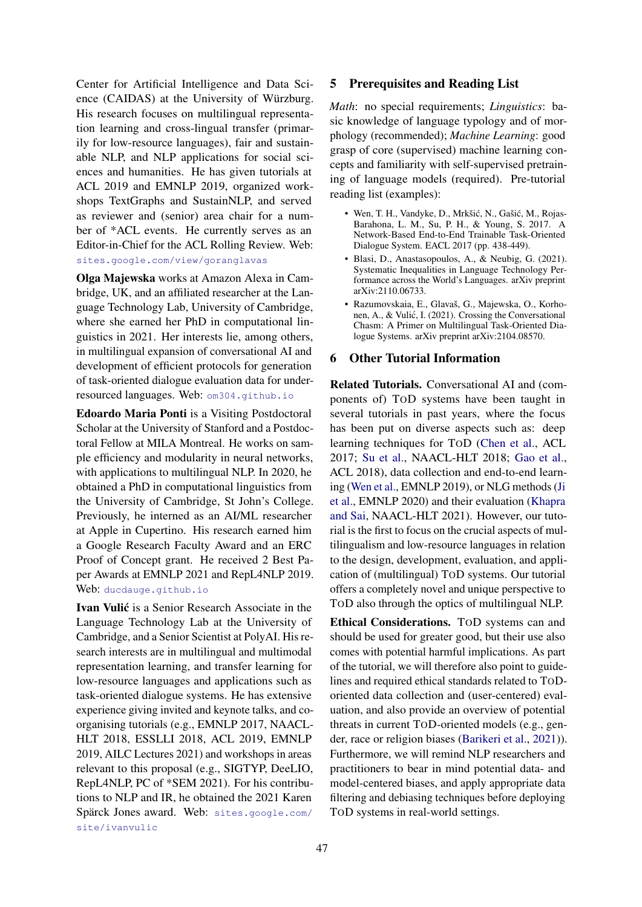Center for Artificial Intelligence and Data Science (CAIDAS) at the University of Würzburg. His research focuses on multilingual representation learning and cross-lingual transfer (primarily for low-resource languages), fair and sustainable NLP, and NLP applications for social sciences and humanities. He has given tutorials at ACL 2019 and EMNLP 2019, organized workshops TextGraphs and SustainNLP, and served as reviewer and (senior) area chair for a number of \*ACL events. He currently serves as an Editor-in-Chief for the ACL Rolling Review. Web: sites.google.com/view/goranglavas

Olga Majewska works at Amazon Alexa in Cambridge, UK, and an affiliated researcher at the Language Technology Lab, University of Cambridge, where she earned her PhD in computational linguistics in 2021. Her interests lie, among others, in multilingual expansion of conversational AI and development of efficient protocols for generation of task-oriented dialogue evaluation data for underresourced languages. Web: om304.github.io

Edoardo Maria Ponti is a Visiting Postdoctoral Scholar at the University of Stanford and a Postdoctoral Fellow at MILA Montreal. He works on sample efficiency and modularity in neural networks, with applications to multilingual NLP. In 2020, he obtained a PhD in computational linguistics from the University of Cambridge, St John's College. Previously, he interned as an AI/ML researcher at Apple in Cupertino. His research earned him a Google Research Faculty Award and an ERC Proof of Concept grant. He received 2 Best Paper Awards at EMNLP 2021 and RepL4NLP 2019. Web: ducdauge.github.io

Ivan Vulić is a Senior Research Associate in the Language Technology Lab at the University of Cambridge, and a Senior Scientist at PolyAI. His research interests are in multilingual and multimodal representation learning, and transfer learning for low-resource languages and applications such as task-oriented dialogue systems. He has extensive experience giving invited and keynote talks, and coorganising tutorials (e.g., EMNLP 2017, NAACL-HLT 2018, ESSLLI 2018, ACL 2019, EMNLP 2019, AILC Lectures 2021) and workshops in areas relevant to this proposal (e.g., SIGTYP, DeeLIO, RepL4NLP, PC of \*SEM 2021). For his contributions to NLP and IR, he obtained the 2021 Karen Spärck Jones award. Web: sites.google.com/ site/ivanvulic

# 5 Prerequisites and Reading List

*Math*: no special requirements; *Linguistics*: basic knowledge of language typology and of morphology (recommended); *Machine Learning*: good grasp of core (supervised) machine learning concepts and familiarity with self-supervised pretraining of language models (required). Pre-tutorial reading list (examples):

- Wen, T. H., Vandyke, D., Mrkšić, N., Gašić, M., Rojas-Barahona, L. M., Su, P. H., & Young, S. 2017. A Network-Based End-to-End Trainable Task-Oriented Dialogue System. EACL 2017 (pp. 438-449).
- Blasi, D., Anastasopoulos, A., & Neubig, G. (2021). Systematic Inequalities in Language Technology Performance across the World's Languages. arXiv preprint arXiv:2110.06733.
- Razumovskaia, E., Glavaš, G., Majewska, O., Korhonen, A., & Vulic, I. (2021). Crossing the Conversational ´ Chasm: A Primer on Multilingual Task-Oriented Dialogue Systems. arXiv preprint arXiv:2104.08570.

#### 6 Other Tutorial Information

Related Tutorials. Conversational AI and (components of) TOD systems have been taught in several tutorials in past years, where the focus has been put on diverse aspects such as: deep learning techniques for TOD (Chen et al., ACL 2017; Su et al., NAACL-HLT 2018; Gao et al., ACL 2018), data collection and end-to-end learning (Wen et al., EMNLP 2019), or NLG methods (Ji et al., EMNLP 2020) and their evaluation (Khapra and Sai, NAACL-HLT 2021). However, our tutorial is the first to focus on the crucial aspects of multilingualism and low-resource languages in relation to the design, development, evaluation, and application of (multilingual) TOD systems. Our tutorial offers a completely novel and unique perspective to TOD also through the optics of multilingual NLP.

Ethical Considerations. TOD systems can and should be used for greater good, but their use also comes with potential harmful implications. As part of the tutorial, we will therefore also point to guidelines and required ethical standards related to TODoriented data collection and (user-centered) evaluation, and also provide an overview of potential threats in current TOD-oriented models (e.g., gender, race or religion biases (Barikeri et al., 2021)). Furthermore, we will remind NLP researchers and practitioners to bear in mind potential data- and model-centered biases, and apply appropriate data filtering and debiasing techniques before deploying TOD systems in real-world settings.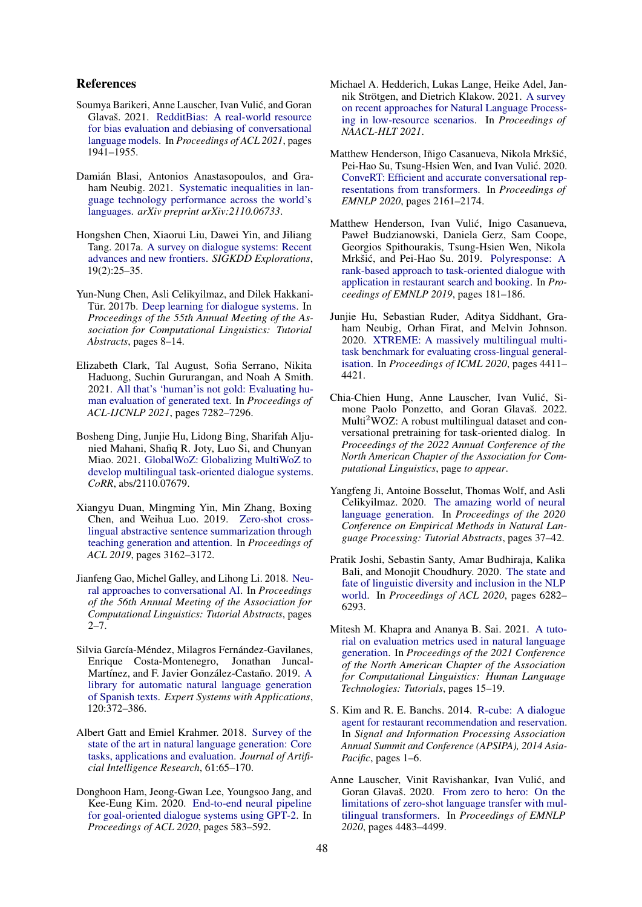#### References

- Soumya Barikeri, Anne Lauscher, Ivan Vulic, and Goran ´ Glavaš. 2021. RedditBias: A real-world resource for bias evaluation and debiasing of conversational language models. In *Proceedings of ACL 2021*, pages 1941–1955.
- Damián Blasi, Antonios Anastasopoulos, and Graham Neubig. 2021. Systematic inequalities in language technology performance across the world's languages. *arXiv preprint arXiv:2110.06733*.
- Hongshen Chen, Xiaorui Liu, Dawei Yin, and Jiliang Tang. 2017a. A survey on dialogue systems: Recent advances and new frontiers. *SIGKDD Explorations*, 19(2):25–35.
- Yun-Nung Chen, Asli Celikyilmaz, and Dilek Hakkani-Tür. 2017b. Deep learning for dialogue systems. In *Proceedings of the 55th Annual Meeting of the Association for Computational Linguistics: Tutorial Abstracts*, pages 8–14.
- Elizabeth Clark, Tal August, Sofia Serrano, Nikita Haduong, Suchin Gururangan, and Noah A Smith. 2021. All that's 'human'is not gold: Evaluating human evaluation of generated text. In *Proceedings of ACL-IJCNLP 2021*, pages 7282–7296.
- Bosheng Ding, Junjie Hu, Lidong Bing, Sharifah Aljunied Mahani, Shafiq R. Joty, Luo Si, and Chunyan Miao. 2021. GlobalWoZ: Globalizing MultiWoZ to develop multilingual task-oriented dialogue systems. *CoRR*, abs/2110.07679.
- Xiangyu Duan, Mingming Yin, Min Zhang, Boxing Chen, and Weihua Luo. 2019. Zero-shot crosslingual abstractive sentence summarization through teaching generation and attention. In *Proceedings of ACL 2019*, pages 3162–3172.
- Jianfeng Gao, Michel Galley, and Lihong Li. 2018. Neural approaches to conversational AI. In *Proceedings of the 56th Annual Meeting of the Association for Computational Linguistics: Tutorial Abstracts*, pages  $2 - 7$ .
- Silvia García-Méndez, Milagros Fernández-Gavilanes, Enrique Costa-Montenegro, Jonathan Juncal-Martínez, and F. Javier González-Castaño. 2019. A library for automatic natural language generation of Spanish texts. *Expert Systems with Applications*, 120:372–386.
- Albert Gatt and Emiel Krahmer. 2018. Survey of the state of the art in natural language generation: Core tasks, applications and evaluation. *Journal of Artificial Intelligence Research*, 61:65–170.
- Donghoon Ham, Jeong-Gwan Lee, Youngsoo Jang, and Kee-Eung Kim. 2020. End-to-end neural pipeline for goal-oriented dialogue systems using GPT-2. In *Proceedings of ACL 2020*, pages 583–592.
- Michael A. Hedderich, Lukas Lange, Heike Adel, Jannik Strötgen, and Dietrich Klakow. 2021. A survey on recent approaches for Natural Language Processing in low-resource scenarios. In *Proceedings of NAACL-HLT 2021*.
- Matthew Henderson, Iñigo Casanueva, Nikola Mrkšic,´ Pei-Hao Su, Tsung-Hsien Wen, and Ivan Vulić. 2020. ConveRT: Efficient and accurate conversational representations from transformers. In *Proceedings of EMNLP 2020*, pages 2161–2174.
- Matthew Henderson, Ivan Vulic, Inigo Casanueva, ´ Paweł Budzianowski, Daniela Gerz, Sam Coope, Georgios Spithourakis, Tsung-Hsien Wen, Nikola Mrkšić, and Pei-Hao Su. 2019. Polyresponse: A rank-based approach to task-oriented dialogue with application in restaurant search and booking. In *Proceedings of EMNLP 2019*, pages 181–186.
- Junjie Hu, Sebastian Ruder, Aditya Siddhant, Graham Neubig, Orhan Firat, and Melvin Johnson. 2020. XTREME: A massively multilingual multitask benchmark for evaluating cross-lingual generalisation. In *Proceedings of ICML 2020*, pages 4411– 4421.
- Chia-Chien Hung, Anne Lauscher, Ivan Vulic, Si- ´ mone Paolo Ponzetto, and Goran Glavaš. 2022. Multi<sup>2</sup>WOZ: A robust multilingual dataset and conversational pretraining for task-oriented dialog. In *Proceedings of the 2022 Annual Conference of the North American Chapter of the Association for Computational Linguistics*, page *to appear*.
- Yangfeng Ji, Antoine Bosselut, Thomas Wolf, and Asli Celikyilmaz. 2020. The amazing world of neural language generation. In *Proceedings of the 2020 Conference on Empirical Methods in Natural Language Processing: Tutorial Abstracts*, pages 37–42.
- Pratik Joshi, Sebastin Santy, Amar Budhiraja, Kalika Bali, and Monojit Choudhury. 2020. The state and fate of linguistic diversity and inclusion in the NLP world. In *Proceedings of ACL 2020*, pages 6282– 6293.
- Mitesh M. Khapra and Ananya B. Sai. 2021. A tutorial on evaluation metrics used in natural language generation. In *Proceedings of the 2021 Conference of the North American Chapter of the Association for Computational Linguistics: Human Language Technologies: Tutorials*, pages 15–19.
- S. Kim and R. E. Banchs. 2014. R-cube: A dialogue agent for restaurant recommendation and reservation. In *Signal and Information Processing Association Annual Summit and Conference (APSIPA), 2014 Asia-Pacific*, pages 1–6.
- Anne Lauscher, Vinit Ravishankar, Ivan Vulic, and ´ Goran Glavaš. 2020. From zero to hero: On the limitations of zero-shot language transfer with multilingual transformers. In *Proceedings of EMNLP 2020*, pages 4483–4499.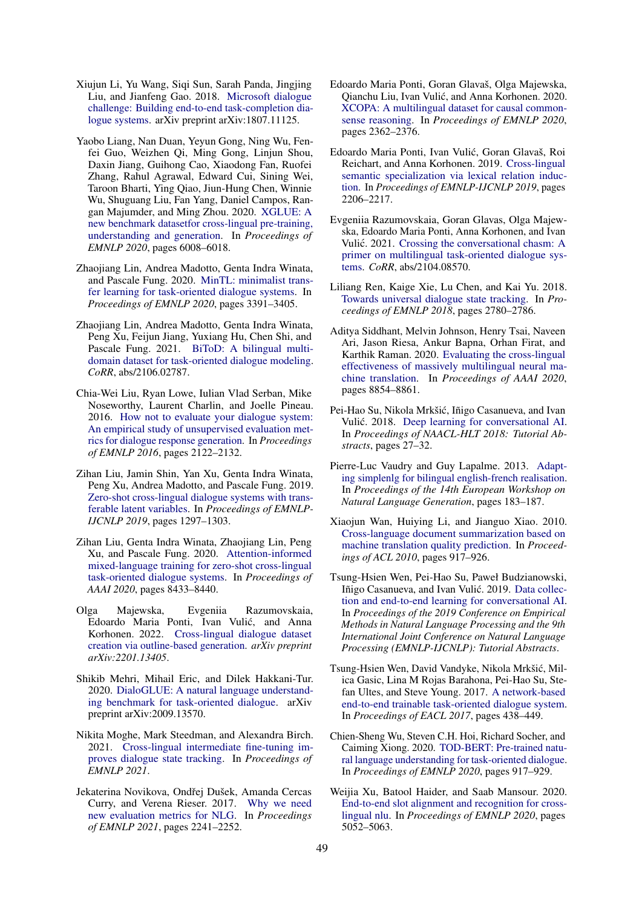- Xiujun Li, Yu Wang, Siqi Sun, Sarah Panda, Jingjing Liu, and Jianfeng Gao. 2018. Microsoft dialogue challenge: Building end-to-end task-completion dialogue systems. arXiv preprint arXiv:1807.11125.
- Yaobo Liang, Nan Duan, Yeyun Gong, Ning Wu, Fenfei Guo, Weizhen Qi, Ming Gong, Linjun Shou, Daxin Jiang, Guihong Cao, Xiaodong Fan, Ruofei Zhang, Rahul Agrawal, Edward Cui, Sining Wei, Taroon Bharti, Ying Qiao, Jiun-Hung Chen, Winnie Wu, Shuguang Liu, Fan Yang, Daniel Campos, Rangan Majumder, and Ming Zhou. 2020. XGLUE: A new benchmark datasetfor cross-lingual pre-training, understanding and generation. In *Proceedings of EMNLP 2020*, pages 6008–6018.
- Zhaojiang Lin, Andrea Madotto, Genta Indra Winata, and Pascale Fung. 2020. MinTL: minimalist transfer learning for task-oriented dialogue systems. In *Proceedings of EMNLP 2020*, pages 3391–3405.
- Zhaojiang Lin, Andrea Madotto, Genta Indra Winata, Peng Xu, Feijun Jiang, Yuxiang Hu, Chen Shi, and Pascale Fung. 2021. BiToD: A bilingual multidomain dataset for task-oriented dialogue modeling. *CoRR*, abs/2106.02787.
- Chia-Wei Liu, Ryan Lowe, Iulian Vlad Serban, Mike Noseworthy, Laurent Charlin, and Joelle Pineau. 2016. How not to evaluate your dialogue system: An empirical study of unsupervised evaluation metrics for dialogue response generation. In *Proceedings of EMNLP 2016*, pages 2122–2132.
- Zihan Liu, Jamin Shin, Yan Xu, Genta Indra Winata, Peng Xu, Andrea Madotto, and Pascale Fung. 2019. Zero-shot cross-lingual dialogue systems with transferable latent variables. In *Proceedings of EMNLP-IJCNLP 2019*, pages 1297–1303.
- Zihan Liu, Genta Indra Winata, Zhaojiang Lin, Peng Xu, and Pascale Fung. 2020. Attention-informed mixed-language training for zero-shot cross-lingual task-oriented dialogue systems. In *Proceedings of AAAI 2020*, pages 8433–8440.
- Olga Majewska, Evgeniia Razumovskaia, Edoardo Maria Ponti, Ivan Vulic, and Anna ´ Korhonen. 2022. Cross-lingual dialogue dataset creation via outline-based generation. *arXiv preprint arXiv:2201.13405*.
- Shikib Mehri, Mihail Eric, and Dilek Hakkani-Tur. 2020. DialoGLUE: A natural language understanding benchmark for task-oriented dialogue. arXiv preprint arXiv:2009.13570.
- Nikita Moghe, Mark Steedman, and Alexandra Birch. 2021. Cross-lingual intermediate fine-tuning improves dialogue state tracking. In *Proceedings of EMNLP 2021*.
- Jekaterina Novikova, Ondřej Dušek, Amanda Cercas Curry, and Verena Rieser. 2017. Why we need new evaluation metrics for NLG. In *Proceedings of EMNLP 2021*, pages 2241–2252.
- Edoardo Maria Ponti, Goran Glavaš, Olga Majewska, Qianchu Liu, Ivan Vulic, and Anna Korhonen. 2020. ´ XCOPA: A multilingual dataset for causal commonsense reasoning. In *Proceedings of EMNLP 2020*, pages 2362–2376.
- Edoardo Maria Ponti, Ivan Vulic, Goran Glavaš, Roi ´ Reichart, and Anna Korhonen. 2019. Cross-lingual semantic specialization via lexical relation induction. In *Proceedings of EMNLP-IJCNLP 2019*, pages 2206–2217.
- Evgeniia Razumovskaia, Goran Glavas, Olga Majewska, Edoardo Maria Ponti, Anna Korhonen, and Ivan Vulić. 2021. Crossing the conversational chasm: A primer on multilingual task-oriented dialogue systems. *CoRR*, abs/2104.08570.
- Liliang Ren, Kaige Xie, Lu Chen, and Kai Yu. 2018. Towards universal dialogue state tracking. In *Proceedings of EMNLP 2018*, pages 2780–2786.
- Aditya Siddhant, Melvin Johnson, Henry Tsai, Naveen Ari, Jason Riesa, Ankur Bapna, Orhan Firat, and Karthik Raman. 2020. Evaluating the cross-lingual effectiveness of massively multilingual neural machine translation. In *Proceedings of AAAI 2020*, pages 8854–8861.
- Pei-Hao Su, Nikola Mrkšic, Iñigo Casanueva, and Ivan ´ Vulić. 2018. Deep learning for conversational AI. In *Proceedings of NAACL-HLT 2018: Tutorial Abstracts*, pages 27–32.
- Pierre-Luc Vaudry and Guy Lapalme. 2013. Adapting simplenlg for bilingual english-french realisation. In *Proceedings of the 14th European Workshop on Natural Language Generation*, pages 183–187.
- Xiaojun Wan, Huiying Li, and Jianguo Xiao. 2010. Cross-language document summarization based on machine translation quality prediction. In *Proceedings of ACL 2010*, pages 917–926.
- Tsung-Hsien Wen, Pei-Hao Su, Paweł Budzianowski, Iñigo Casanueva, and Ivan Vulić. 2019. Data collection and end-to-end learning for conversational AI. In *Proceedings of the 2019 Conference on Empirical Methods in Natural Language Processing and the 9th International Joint Conference on Natural Language Processing (EMNLP-IJCNLP): Tutorial Abstracts*.
- Tsung-Hsien Wen, David Vandyke, Nikola Mrkšic, Mil- ´ ica Gasic, Lina M Rojas Barahona, Pei-Hao Su, Stefan Ultes, and Steve Young. 2017. A network-based end-to-end trainable task-oriented dialogue system. In *Proceedings of EACL 2017*, pages 438–449.
- Chien-Sheng Wu, Steven C.H. Hoi, Richard Socher, and Caiming Xiong. 2020. TOD-BERT: Pre-trained natural language understanding for task-oriented dialogue. In *Proceedings of EMNLP 2020*, pages 917–929.
- Weijia Xu, Batool Haider, and Saab Mansour. 2020. End-to-end slot alignment and recognition for crosslingual nlu. In *Proceedings of EMNLP 2020*, pages 5052–5063.